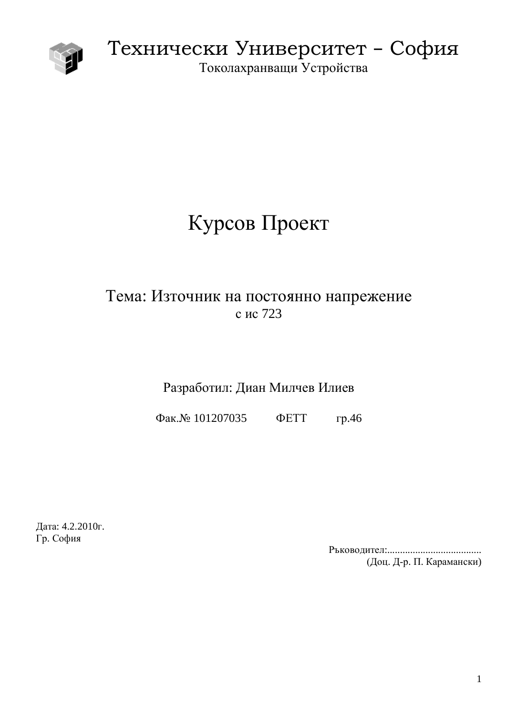

Технически Университет - София

Токолахранващи Устройства

# Курсов Проект

## Тема: Източник на постоянно напрежение с ис 723

### Разработил: Диан Милчев Илиев

Φaκ. Νο 101207035 ΦΕΤΤ rp. 46

Дата: 4.2.2010г. Гр. София

> Ɋɴɤɨɜɨɞɢɬɟɥ:..................................... (Доц. Д-р. П. Карамански)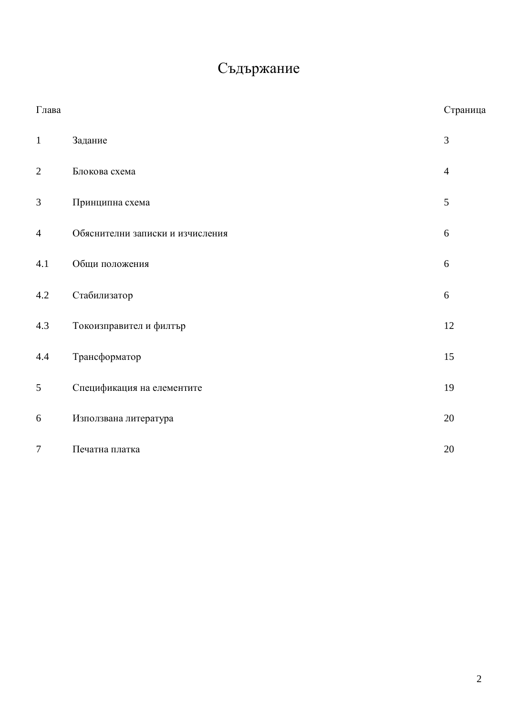# Съдържание

| $\Gamma$ лава  |                                  | Страница       |
|----------------|----------------------------------|----------------|
| $\mathbf{1}$   | Задание                          | 3              |
| $\mathbf{2}$   | Блокова схема                    | $\overline{4}$ |
| $\mathfrak{Z}$ | Принципна схема                  | 5              |
| $\overline{4}$ | Обяснителни записки и изчисления | 6              |
| 4.1            | Общи положения                   | 6              |
| 4.2            | Стабилизатор                     | 6              |
| 4.3            | Токоизправител и филтър          | 12             |
| 4.4            | Трансформатор                    | 15             |
| 5              | Спецификация на елементите       | 19             |
| 6              | Използвана литература            | 20             |
| $\overline{7}$ | Печатна платка                   | $20\,$         |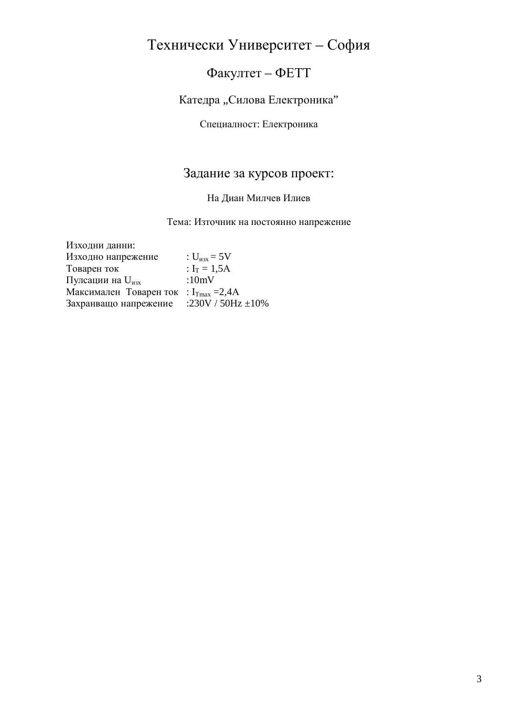# Технически Университет – София

### Факултет - ФЕТТ

Катедра "Силова Електроника"

Специалност: Електроника

### Задание за курсов проект:

### На Диан Милчев Илиев

Тема: Източник на постоянно напрежение

| Изходни данни:                                    |                         |
|---------------------------------------------------|-------------------------|
| Изходно напрежение                                | : $U_{\text{max}} = 5V$ |
| Товарен ток                                       | : $I_T = 1,5A$          |
| Пулсации на U <sub>изх</sub>                      | : $10mV$                |
| Максимален Товаренток : $I_{\text{Tmax}} = 2.4$ А |                         |
| Захранващо напрежение                             | :230V / $50Hz \pm 10\%$ |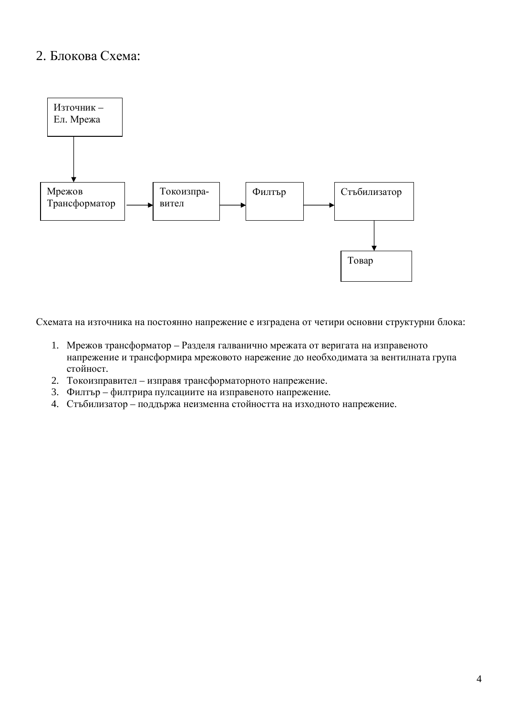### 2. Блокова Схема:



Схемата на източника на постоянно напрежение е изградена от четири основни структурни блока:

- 1. Мрежов трансформатор Разделя галванично мрежата от веригата на изправеното напрежение и трансформира мрежовото нарежение до необходимата за вентилната група стойност.
- 2. Токоизправител изправя трансформаторното напрежение.
- 3. Филтър филтрира пулсациите на изправеното напрежение.
- 4. Стъбилизатор поддържа неизменна стойността на изходното напрежение.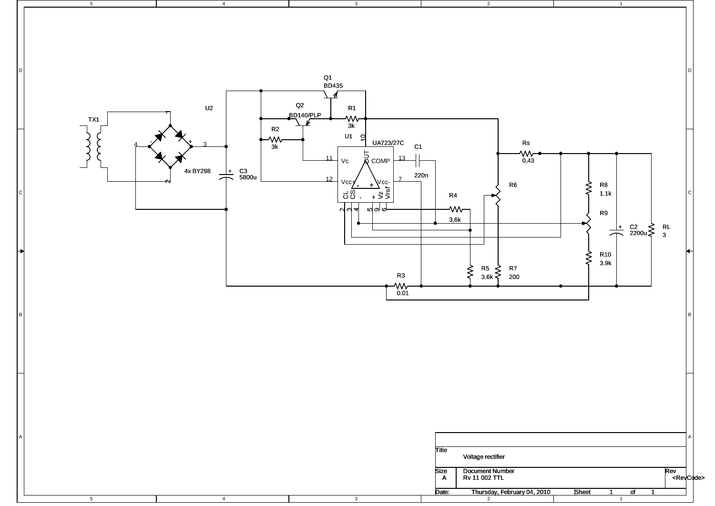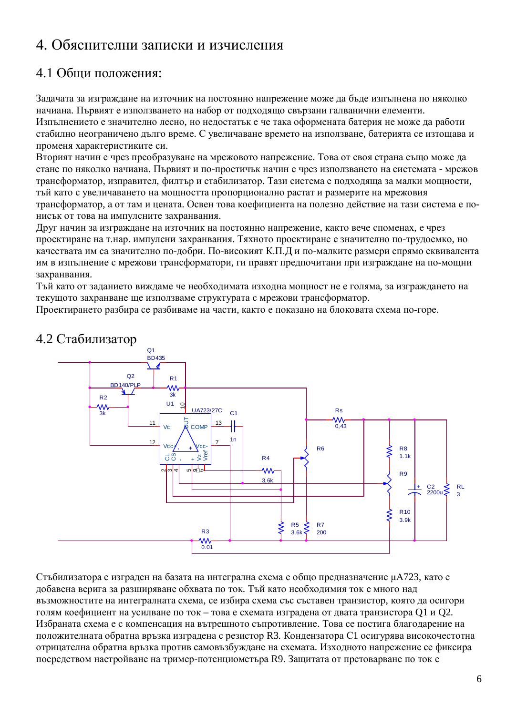### 4. Обяснителни записки и изчисления

### 4.1 Общи положения:

Задачата за изграждане на източник на постоянно напрежение може да бъде изпълнена по няколко начиана. Първият е използването на набор от подходящо свързани галванични елементи.

Изпълнението е значително лесно, но недостатък е че така оформената батерия не може да работи стабилно неограничено дълго време. С увеличаване времето на използване, батерията се изтощава и променя характеристиките си.

Вторият начин е чрез преобразуване на мрежовото напрежение. Това от своя страна също може да стане по няколко начиана. Първият и по-простичък начин е чрез използването на системата - мрежов трансформатор, изправител, филтър и стабилизатор. Тази система е подходяща за малки мощности, тый като с увеличаването на мощността пропорционално растат и размерите на мрежовия трансформатор, а от там и цената. Освен това коефициента на полезно действие на тази система е понисък от това на импулсните захранвания.

Друг начин за изграждане на източник на постоянно напрежение, както вече споменах, е чрез проектиране на т.нар. импулсни захранвания. Тяхното проектиране е значително по-трудоемко, но качествата им са значително по-добри. По-високият К.П.Д и по-малките размери спрямо еквивалента им в изпълнение с мрежови трансформатори, ги правят предпочитани при изграждане на по-мощни захранвания.

Тъй като от заданието виждаме че необходимата изходна мощност не е голяма, за изграждането на текущото захранване ще използваме структурата с мрежови трансформатор.

Проектирането разбира се разбиваме на части, както е показано на блоковата схема по-горе.



### 4.2 Стабилизатор

Стъбилизатора е изграден на базата на интегрална схема с общо предназначение µА723, като е добавена верига за разширяване обхвата по ток. Тъй като необходимия ток е много над възможностите на интегралната схема, се избира схема със съставен транзистор, която да осигори голям коефициент на усилване по ток – това е схемата изградена от двата транзистора О1 и О2. Избраната схема е с компенсация на вътрешното съпротивление. Това се постига благодарение на положителната обратна връзка изградена с резистор R3. Кондензатора С1 осигурява високочестотна отрицателна обратна връзка против самовъзбуждане на схемата. Изходното напрежение се фиксира посредством настройване на тример-потенциометьра  $R9$ . Защитата от претоварване по ток е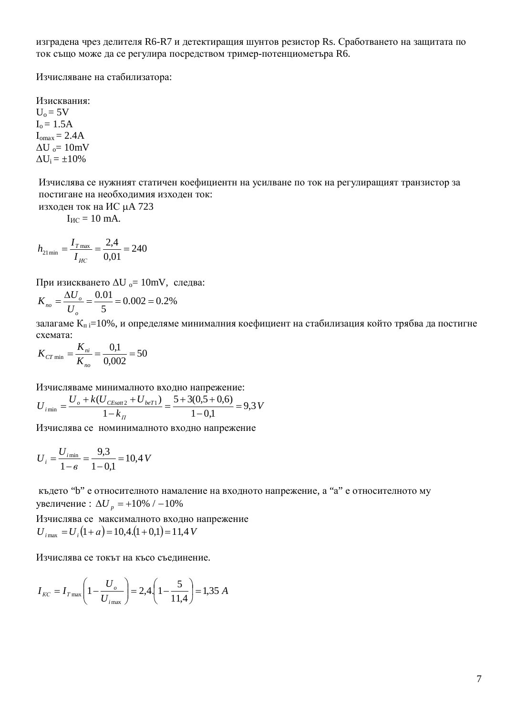изградена чрез делителя R6-R7 и детектиращия шунтов резистор Rs. Сработването на защитата по ток също може да се регулира посредством тример-потенциометъра R6.

Изчисляване на стабилизатора:

Изисквания:  $U_0 = 5V$  $I_0 = 1.5A$  $I_{omax} = 2.4A$  $\Delta U_{o} = 10$ mV  $\Delta U_i = \pm 10\%$ 

Изчислява се нужният статичен коефициентн на усилване по ток на регулиращият транзистор за постигане на необходимия изходен ток:

изходен ток на ИС µА 723

 $I_{MC} = 10$  mA.

$$
h_{21\,\text{min}} = \frac{I_{T\,\text{max}}}{I_{HC}} = \frac{2.4}{0.01} = 240
$$

При изискването  $\Delta U_0 = 10$ mV, следва:

$$
K_{no} = \frac{\Delta U_o}{U_o} = \frac{0.01}{5} = 0.002 = 0.2\%
$$

залагаме  $K_n = 10\%$ , и определяме минималния коефициент на стабилизация който трябва да постигне схемата:

$$
K_{CT \min} = \frac{K_{ni}}{K_{no}} = \frac{0.1}{0.002} = 50
$$

Изчисляваме минималното входно напрежение:

$$
U_{i_{\min}} = \frac{U_o + k(U_{CEsat2} + U_{beT1})}{1 - k_{\Pi}} = \frac{5 + 3(0.5 + 0.6)}{1 - 0.1} = 9.3 V
$$

Изчислява се номинималното входно напрежение

$$
U_i = \frac{U_{i_{\text{min}}}}{1 - \epsilon} = \frac{9.3}{1 - 0.1} = 10.4 \text{ V}
$$

където "b" е относителното намаление на входното напрежение, а "a" е относителното му увеличение :  $\Delta U_p = +10\% / -10\%$ 

Изчислява се максималното входно напрежение  $U_{i_{\text{max}}} = U_i(1+a) = 10,4(1+0,1) = 11,4 V$ 

Изчислява се токът на късо съединение.

$$
I_{\text{KC}} = I_{\text{T max}} \left( 1 - \frac{U_o}{U_{\text{imax}}} \right) = 2,4 \cdot \left( 1 - \frac{5}{11,4} \right) = 1,35 \text{ A}
$$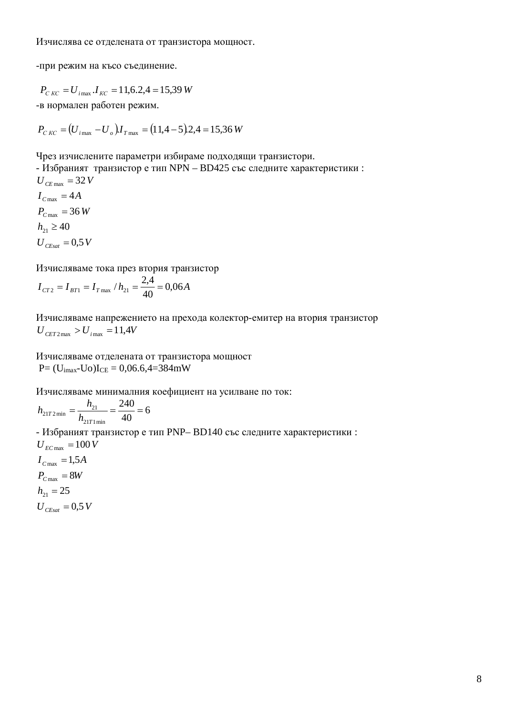-при режим на късо съединение.

$$
P_{CKC} = U_{i\text{max}}. I_{KC} = 11,6.2,4 = 15,39 W
$$

-в нормален работен режим.

 $P_{C\,KC} = (U_{i\,\text{max}} - U_{o})I_{T\,\text{max}} = (11,4-5).2,4 = 15,36 W$ 

Чрез изчислените параметри избираме подходящи транзистори.

- Избраният транзистор е тип NPN – BD425 със следните характеристики :  $U_{\text{CEsat}} = 0.5 V$  $h_{21} \ge 40$  $P_{C \text{ max}} = 36 \text{ W}$  $I_{C \max} = 4A$  $U_{CE \max}$  = 32 *V* 

Изчисляваме тока през втория транзистор

$$
I_{CT2} = I_{BT1} = I_{T \max} / h_{21} = \frac{2.4}{40} = 0.06A
$$

Изчисляваме напрежението на прехода колектор-емитер на втория транзистор  $U_{CET2\,\text{max}} > U_{i\,\text{max}} = 11,4V$ 

Изчисляваме отделената от транзистора мощност  $P = (U_{\text{imax}} - U_{\text{O}})I_{\text{CE}} = 0.06.64 = 384 \text{mW}$ 

Изчисляваме минималния коефициент на усилване по ток:

$$
h_{21T2\,\text{min}} = \frac{h_{21}}{h_{21T1\,\text{min}}} = \frac{240}{40} = 6
$$

- Избраният транзистор е тип PNP– BD140 със следните характеристики :  $U_{EC\,\text{max}} = 100 V$ 

 $U_{\text{CEsat}} = 0.5 V$  $h_{21} = 25$  $P_{C \text{ max}} = 8W$  $I_{C \text{ max}} = 1,5A$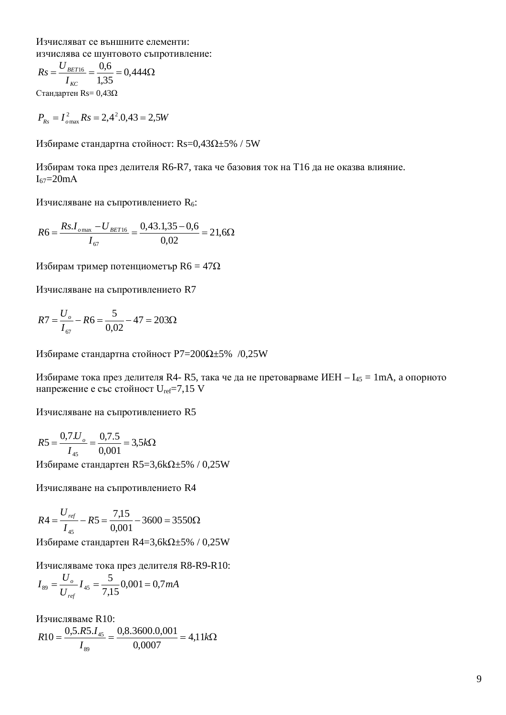Изчисляват се външните елементи: изчислява се шунтовото съпротивление:

$$
Rs = \frac{U_{BET16}}{I_{KC}} = \frac{0,6}{1,35} = 0,444\Omega
$$

 $C$ тандартен Rs= 0,43Ω

$$
P_{Rs} = I_{o \max}^2 Rs = 2,4^2.0,43 = 2,5W
$$

Избираме стандартна стойност: Rs=0,43 $\Omega$ ±5% / 5W

Избирам тока през делителя R6-R7, така че базовия ток на Т16 да не оказва влияние.  $I_{67}$ =20mA

Изчисляване на съпротивлението R<sub>6</sub>:

$$
R6 = \frac{Rs. I_{o\,\text{max}} - U_{BET16}}{I_{67}} = \frac{0,43.1,35 - 0,6}{0,02} = 21,6\Omega
$$

Избирам тример потенциометър  $R6 = 47\Omega$ 

Изчисляване на съпротивлението R7

$$
R7 = \frac{U_o}{I_{67}} - R6 = \frac{5}{0.02} - 47 = 203\Omega
$$

Избираме стандартна стойност Р7=200 $\Omega$ +5% /0,25W

Избираме тока през делителя R4- R5, така че да не претоварваме ИЕН –  $I_{45} = 1$ mA, а опорното напрежение е със стойност  $U_{ref}=7,15$  V

Изчисляване на съпротивлението R5

$$
R5 = \frac{0,7.U_{o}}{I_{45}} = \frac{0,7.5}{0,001} = 3,5k\Omega
$$

Избираме стандартен  $R5=3,6k\Omega \pm 5\%$  / 0,25W

Изчисляване на съпротивлението R4

$$
R4 = \frac{U_{ref}}{I_{45}} - R5 = \frac{7,15}{0,001} - 3600 = 3550\Omega
$$

Избираме стандартен R4=3,6k $\Omega$ ±5% / 0,25W

Изчисляваме тока през делителя R8-R9-R10:

$$
I_{89} = \frac{U_o}{U_{ref}} I_{45} = \frac{5}{7,15} 0,001 = 0,7 mA
$$

Изчисляваме R10: *k*: *I*  $R10 = \frac{0,5.R5.I_{45}}{I} = \frac{0,8.3600.0,001}{0,0.002} = 4,11$ 0,0007  $10 = \frac{0,5. R5.I_{45}}{I} = \frac{0,8.3600.0,001}{0,0.005}$ 89 45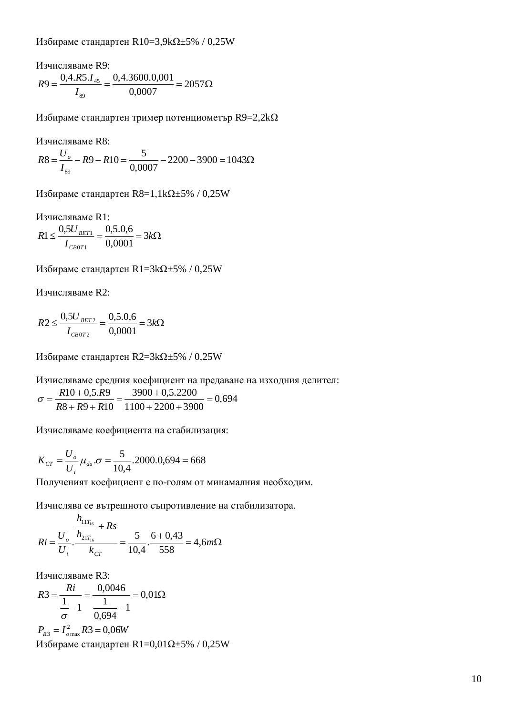Избираме стандартен R10=3,9kΩ±5% / 0,25W

Изчисляваме R9:  $=\frac{0,7.13.145}{2}=\frac{0,7.3000.0,001}{0,0005}=2057\Omega$ 0,0007  $9 = \frac{0,4. R5.I_{45}}{I} = \frac{0,4.3600.0,001}{0,0005}$ 89 45 *I*  $R9 = \frac{0,4.R5.I}{I}$ 

Избираме стандартен тример потенциометър  $R9=2,2k\Omega$ 

Изчисляваме R8:

$$
R8 = \frac{U_o}{I_{89}} - R9 - R10 = \frac{5}{0,0007} - 2200 - 3900 = 1043\Omega
$$

Избираме стандартен  $R8=1,1k\Omega \pm 5\%$  / 0,25W

Изчисляваме R1:  $\leq \frac{0,30}{I} = \frac{0,30,0,0}{0,00,0} = 3k\Omega$ *I*  $R1 \leq \frac{0,5U}{I}$ *CB T*  $\frac{BET1}{2.2225} = \frac{0,30,0,0}{3} = 3$ 0,0001  $21 \leq \frac{0,5U_{BET1}}{U_{BET1}} = \frac{0,5.0,6}{0,0.001}$  $0T1$ 1

Избираме стандартен R1=3k $\Omega$ ±5% / 0,25W

Изчисляваме R2:

$$
R2 \le \frac{0,5U_{BET2}}{I_{CB0T2}} = \frac{0,5.0,6}{0,0001} = 3k\Omega
$$

Избираме стандартен R2=3kΩ±5% / 0,25W

Изчисляваме средния коефициент на предаване на изходния делител:

0,694  $1100 + 2200 + 3900$  $3900 + 0,5.2200$  $8 + R9 + R10$ 10 0,5. 9  $+2200+$  $=\frac{3900+}{1100}$  $+ R9 +$  $=\frac{R10+}{R}$  $R8 + R9 + R$  $\sigma = \frac{R10 + 0.5.R}{R}$ 

Изчисляваме коефициента на стабилизация:

$$
K_{CT} = \frac{U_o}{U_i} \mu_{du} \cdot \sigma = \frac{5}{10,4} \cdot 2000.0,694 = 668
$$

Полученият коефициент е по-голям от минамалния необходим.

Изчислява се вътрешното съпротивление на стабилизатора.

$$
Ri = \frac{U_o}{U_i} \cdot \frac{\frac{h_{11T_{16}}}{h_{21T_{16}}} + Rs}{k_{cr}} = \frac{5}{10,4} \cdot \frac{6 + 0.43}{558} = 4,6m\Omega
$$

Изчисляваме R3:

$$
R3 = \frac{Ri}{\frac{1}{\sigma} - 1} = \frac{0.0046}{\frac{1}{0.694} - 1} = 0.01\Omega
$$
  

$$
P_{R3} = I_{\text{max}}^2 R3 = 0.06W
$$
  
U350upame crahJapren R1=0.01 $\Omega \pm 5\%$  / 0.25W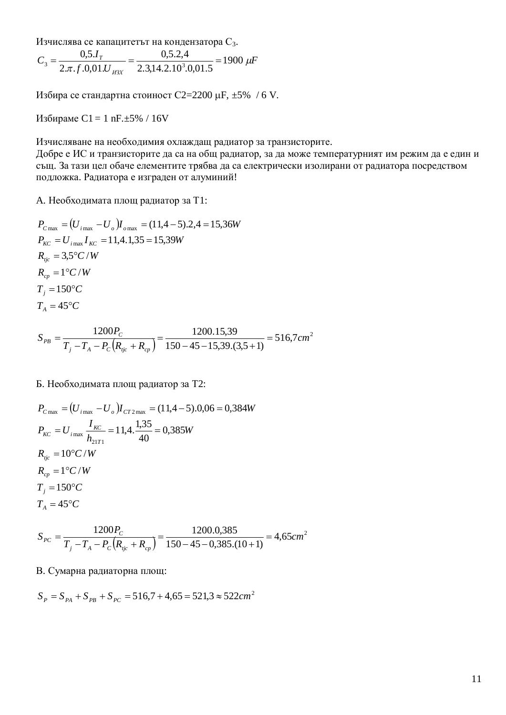Изчислява се капацитетът на кондензатора С<sub>3</sub>.

$$
C_3 = \frac{0.5 J_T}{2 \pi f. 0.01 J_{H3X}} = \frac{0.5.2.4}{2.3,14.2.10^3.0,01.5} = 1900 \ \mu F
$$

Избира се стандартна стоиност С2=2200 µF, ±5% / 6 V.

Избираме С1 = 1 nF. $\pm$ 5% / 16V

Изчисляване на необходимия охлаждащ радиатор за транзисторите.

Добре е ИС и транзисторите да са на общ радиатор, за да може температурният им режим да е един и същ. За тази цел обаче елементите трябва да са електрически изолирани от радиатора посредством подложка. Радиатора е изграден от алуминий!

А. Необходимата площ радиатор за Т1:

$$
P_{C\max} = (U_{i\max} - U_o)I_{o\max} = (11,4-5).2,4 = 15,36W
$$
  
\n
$$
P_{KC} = U_{i\max}I_{KC} = 11,4.1,35 = 15,39W
$$
  
\n
$$
R_{ijc} = 3,5^{\circ}C/W
$$
  
\n
$$
R_{cp} = 1^{\circ}C/W
$$
  
\n
$$
T_j = 150^{\circ}C
$$
  
\n
$$
T_A = 45^{\circ}C
$$

$$
S_{PB} = \frac{1200P_C}{T_j - T_A - P_C(R_{ijc} + R_{cp})} = \frac{1200.15,39}{150 - 45 - 15,39.(3,5+1)} = 516,7cm^2
$$

Б. Необходимата площ радиатор за Т2:

$$
P_{C\max} = (U_{i\max} - U_o)I_{CT2\max} = (11,4-5).0,06 = 0,384W
$$
  
\n
$$
P_{KC} = U_{i\max} \frac{I_{KC}}{h_{21T1}} = 11,4.\frac{1,35}{40} = 0,385W
$$
  
\n
$$
R_{ijc} = 10^{\circ}C/W
$$
  
\n
$$
R_{cp} = 1^{\circ}C/W
$$
  
\n
$$
T_j = 150^{\circ}C
$$
  
\n
$$
T_A = 45^{\circ}C
$$

$$
S_{PC} = \frac{1200P_C}{T_j - T_A - P_C(R_{ijc} + R_{cp})} = \frac{1200.0385}{150 - 45 - 0.385. (10 + 1)} = 4,65cm^2
$$

В. Сумарна радиаторна площ:

$$
S_P = S_{PA} + S_{PB} + S_{PC} = 516,7 + 4,65 = 521,3 \approx 522 cm^2
$$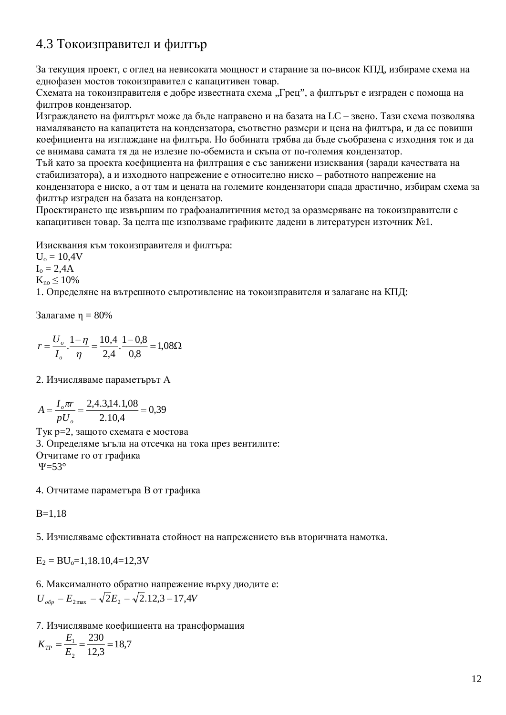### 4.3 Токоизправител и филтър

За текущия проект, с оглед на невисоката мощност и старание за по-висок КПД, избираме схема на еднофазен мостов токоизправител с капацитивен товар.

Схемата на токоизправителя е добре известната схема "Грец", а филтърът е изграден с помоща на филтров кондензатор.

Изграждането на филтърът може да бъде направено и на базата на LC – звено. Тази схема позволява намаляването на капацитета на кондензатора, съответно размери и цена на филтъра, и да се повиши коефициента на изглаждане на филтъра. Но бобината трябва да бъде съобразена с изходния ток и да се внимава самата тя да не излезне по-обемиста и скъпа от по-големия кондензатор.

Тъй като за проекта коефициента на филтрация е със занижени изисквания (заради качествата на стабилизатора), а и изходното напрежение е относително ниско – работното напрежение на кондензатора е ниско, а от там и цената на големите кондензатори спада драстично, избирам схема за филтър изграден на базата на кондензатор.

Проектирането ще извършим по графоаналитичния метод за оразмеряване на токоизправители с капацитивен товар. За целта ще използваме графиките ладени в литературен източник №1.

Изисквания към токоизправителя и филтъра:

 $U_0 = 10.4V$  $I_0 = 2,4A$ 

 $K_{no} \leq 10\%$ 

1. Определяне на вътрешното съпротивление на токоизправителя и залагане на КПД:

Залагаме  $\eta = 80\%$ 

$$
r = \frac{U_o}{I_o} \cdot \frac{1 - \eta}{\eta} = \frac{10,4}{2,4} \cdot \frac{1 - 0.8}{0.8} = 1,08\Omega
$$

2. Изчисляваме параметърът А

$$
A = \frac{I_o \pi r}{pU_o} = \frac{2,4.3,14.1,08}{2.10,4} = 0,39
$$

Тук р=2, защото схемата е мостова 3. Определяме ъгъла на отсечка на тока през вентилите: Отчитаме го от графика  $\Psi$ =53°

4. Отчитаме параметъра В от графика

 $B=1,18$ 

5. Изчисляваме ефективната стойност на напрежението във вторичната намотка.

 $E_2 = BU_0 = 1,18.10,4=12,3V$ 

6. Максималното обратно напрежение върху диодите е:  $U_{\text{o6p}} = E_{\text{2max}} = \sqrt{2}E_2 = \sqrt{2}.12.3 = 17.4V$ 

7. Изчисляваме коефициента на трансформация

 $K_{TP} = \frac{E_1}{E_2} = \frac{230}{12.3} = 18.7$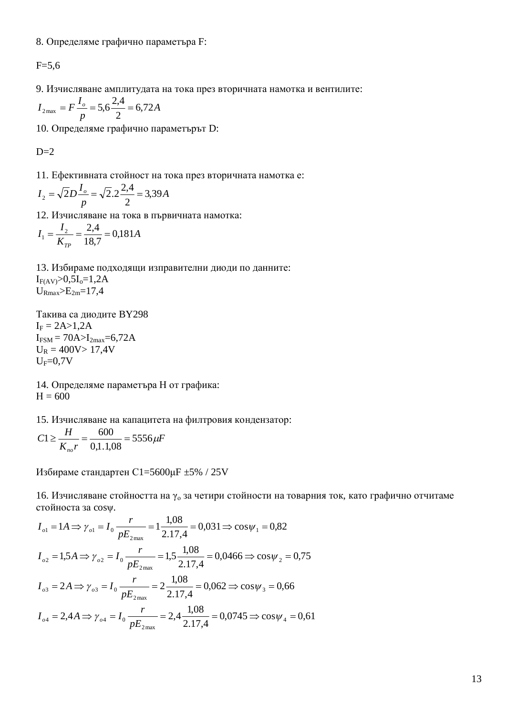8. Определяме графично параметъра F:

 $F = 5,6$ 

9. Изчисляване амплитудата на тока през вторичната намотка и вентилите:

$$
I_{2\text{max}} = F \frac{I_o}{p} = 5.6 \frac{2.4}{2} = 6.72 A
$$

10. Определяме графично параметърът D:

 $D=2$ 

11. Ефективната стойност на тока през вторичната намотка е:

$$
I_2 = \sqrt{2}D\frac{I_o}{p} = \sqrt{2}.2\frac{2.4}{2} = 3.39A
$$

12. Изчисляване на тока в първичната намотка:

$$
I_1 = \frac{I_2}{K_{TP}} = \frac{2,4}{18,7} = 0,181A
$$

13. Избираме подходящи изправителни диоди по данните:  $I_{F(AV)} > 0, 5I_0 = 1, 2A$  $U_{\rm Rmax} > E_{\rm 2m} = 17,4$ 

Такива са диодите ВҮ298  $I_F = 2A > 1,2A$  $I_{FSM} = 70A > I_{2max} = 6,72A$  $U_R = 400V > 17,4V$  $U_F=0.7V$ 

14. Определяме параметъра Н от графика:  $H = 600$ 

15. Изчисляване на капацитета на филтровия кондензатор:

$$
C1 \ge \frac{H}{K_{no}r} = \frac{600}{0,1.1,08} = 5556 \,\mu\text{F}
$$

Избираме стандартен C1=5600µF ±5% / 25V

16. Изчисляване стойността на  $\gamma_0$  за четири стойности на товарния ток, като графично отчитаме стойноста за соѕу.

$$
I_{o1} = 1A \Rightarrow \gamma_{o1} = I_0 \frac{r}{pE_{2\text{max}}} = 1 \frac{1,08}{2.17,4} = 0,031 \Rightarrow \cos \psi_1 = 0,82
$$
  
\n
$$
I_{o2} = 1,5A \Rightarrow \gamma_{o2} = I_0 \frac{r}{pE_{2\text{max}}} = 1,5 \frac{1,08}{2.17,4} = 0,0466 \Rightarrow \cos \psi_2 = 0,75
$$
  
\n
$$
I_{o3} = 2A \Rightarrow \gamma_{o3} = I_0 \frac{r}{pE_{2\text{max}}} = 2 \frac{1,08}{2.17,4} = 0,062 \Rightarrow \cos \psi_3 = 0,66
$$
  
\n
$$
I_{o4} = 2,4A \Rightarrow \gamma_{o4} = I_0 \frac{r}{pE_{2\text{max}}} = 2,4 \frac{1,08}{2.17,4} = 0,0745 \Rightarrow \cos \psi_4 = 0,61
$$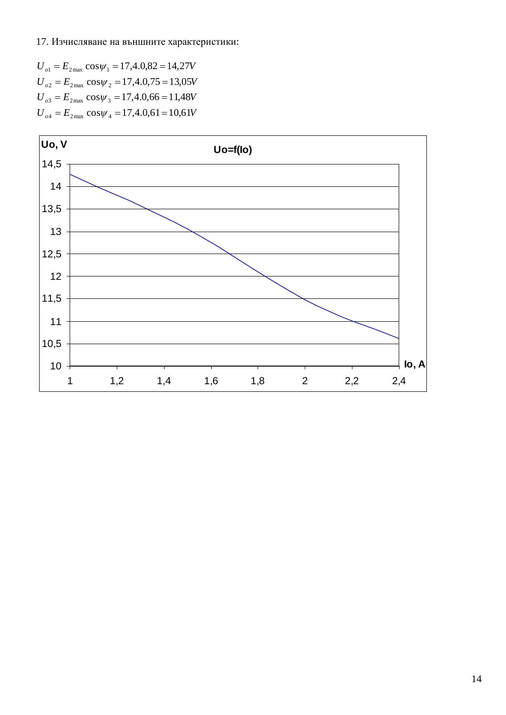#### 17. Изчисляване на външните характеристики:

 $U_{o1} = E_{2\text{max}} \cos \psi_1 = 17,4.0,82 = 14,27V$  $U_{o2} = E_{2\text{max}} \cos \psi_2 = 17,4.0,75 = 13,05V$  $U_{o3} = E_{2\text{max}} \cos \psi_3 = 17,4.0,66 = 11,48V$  $U_{o4} = E_{2\text{max}} \cos \psi_4 = 17,4.0,61 = 10,61V$ 

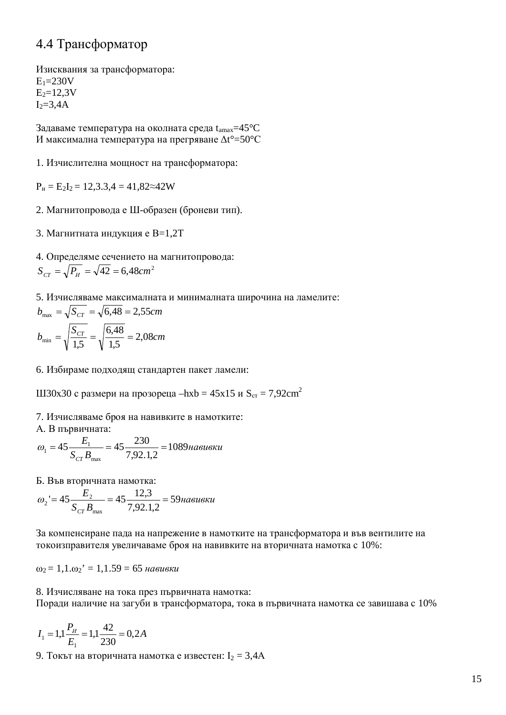### 4.4 Трансформатор

Изисквания за трансформатора:  $E_1 = 230V$  $E_2 = 12.3V$  $I<sub>2</sub>=3.4A$ 

Задаваме температура на околната среда  $t_{\text{amax}}$ =45°С И максимална температура на прегряване  $\Delta t^{\circ} = 50^{\circ}$ С

1. Изчислителна мощност на трансформатора:

 $P_{\text{H}} = E_2I_2 = 12,3.3,4 = 41,82 \approx 42W$ 

2. Магнитопровода е Ш-образен (броневи тип).

3. Магнитната индукция е B=1,2T

4. Определяме сечението на магнитопровода:

 $S_{CT} = \sqrt{P_H} = \sqrt{42} = 6{,}48cm^2$ 

5. Изчисляваме максималната и минималната широчина на ламелите:

$$
b_{\text{max}} = \sqrt{S_{CT}} = \sqrt{6,48} = 2,55 \text{cm}
$$
\n
$$
b_{\text{min}} = \sqrt{\frac{S_{CT}}{1,5}} = \sqrt{\frac{6,48}{1,5}} = 2,08 \text{cm}
$$

6. Избираме подходящ стандартен пакет ламели:

Ш30х30 с размери на прозореца –hxb = 45x15 и  $S_{cr} = 7,92 \text{cm}^2$ 

7. Изчисляваме броя на навивките в намотките:

А. В първичната:

$$
\omega_1 = 45 \frac{E_1}{S_{CT} B_{\text{max}}} = 45 \frac{230}{7,92.1,2} = 1089 \text{ has the same}
$$

Б. Във вторичната намотка:

$$
\omega_2 = 45 \frac{E_2}{S_{CT} B_{\text{max}}} = 45 \frac{12.3}{7.92.1.2} = 59 \text{ has}
$$

За компенсиране пада на напрежение в намотките на трансформатора и във вентилите на токоизправителя увеличаваме броя на навивките на вторичната намотка с 10%:

 $\omega_2 = 1, 1.\omega_2' = 1, 1.59 = 65$  *Habyev* 

8. Изчисляване на тока през първичната намотка: Поради наличие на загуби в трансформатора, тока в първичната намотка се завишава с 10%

$$
I_1 = 1,1 \frac{P_H}{E_1} = 1,1 \frac{42}{230} = 0,2A
$$

9. Токът на вторичната намотка е известен:  $I_2 = 3,4A$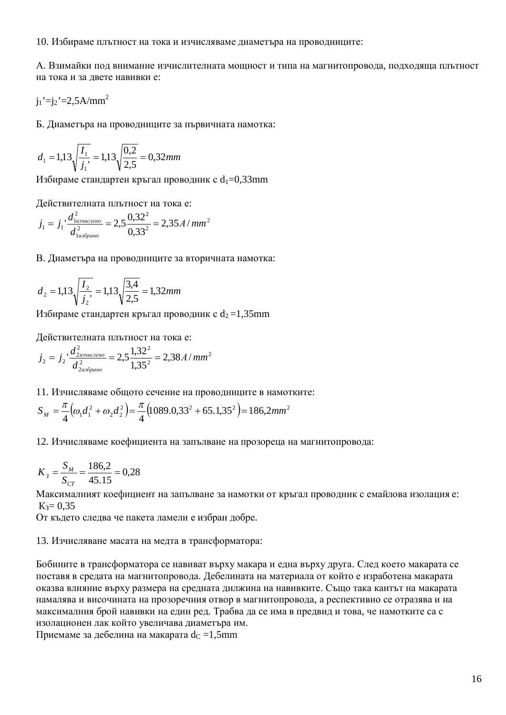10. Избираме плътност на тока и изчисляваме диаметъра на проводниците:

А. Взимайки под внимание изчислителната мощност и типа на магнитопровода, подходяща плътност на тока и за лвете навивки е:

 $i_1$ '= $i_2$ '=2,5A/mm<sup>2</sup>

Б. Диаметъра на проводниците за първичната намотка:

$$
d_1 = 1,13\sqrt{\frac{I_1}{j_1}} = 1,13\sqrt{\frac{0,2}{2,5}} = 0,32mm
$$

Избираме стандартен кръгал проводник с  $d_1=0,33$ mm

Действителната плътност на тока е:

$$
j_1 = j_1 \cdot \frac{d_{1}^2}{d_{1us6pano}^2} = 2,5 \frac{0,32^2}{0,33^2} = 2,35 A/mm^2
$$

В. Диаметъра на проводниците за вторичната намотка:

$$
d_2 = 1,13\sqrt{\frac{I_2}{j_2}} = 1,13\sqrt{\frac{3,4}{2,5}} = 1,32mm
$$

Избираме стандартен кръгал проводник с  $d_2 = 1,35$ mm

Действителната плътност на тока е:

$$
j_2 = j_2 \cdot \frac{d_{2usvuccneno}^2}{d_{2us6pano}^2} = 2,5 \frac{1,32^2}{1,35^2} = 2,38A/mm^2
$$

11. Изчисляваме общото сечение на проводниците в намотките:

$$
S_M = \frac{\pi}{4} \Big( \omega_1 d_1^2 + \omega_2 d_2^2 \Big) = \frac{\pi}{4} \Big( 1089.0, 33^2 + 65.1, 35^2 \Big) = 186, 2mm^2
$$

12. Изчисляваме коефициента на запълване на прозореца на магнитопровода:

$$
K_3 = \frac{S_M}{S_{CT}} = \frac{186,2}{45.15} = 0,28
$$

Максималният коефициент на запълване за намотки от кръгал проводник с емайлова изолация е:  $K_3 = 0.35$ 

От където следва че пакета ламели е избран добре.

#### 13. Изчисляване масата на медта в трансформатора:

Бобините в трансформатора се навиват върху макара и една върху друга. След което макарата се поставя в средата на магнитопровода. Дебелината на материала от който е изработена макарата оказва влияние върху размера на средната дилжина на навивките. Също така кантът на макарата намалява и височината на прозоречния отвор в магнитопровода, а респективно се отразява и на максималния брой навивки на един ред. Трабва да се има в предвид и това, че намотките са с изолационен лак който увеличава диаметъра им.

Приемаме за дебелина на макарата  $d<sub>C</sub> = 1,5$ mm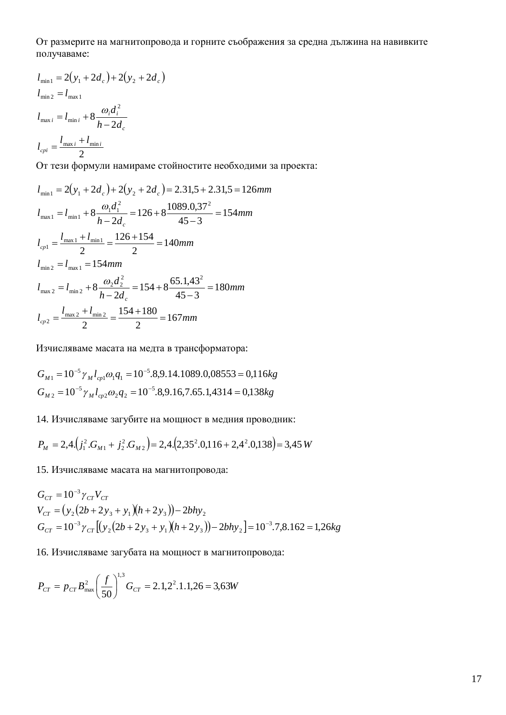От размерите на магнитопровода и горните съображения за средна дължина на навивките получаваме:

$$
l_{\min} = 2(y_1 + 2d_c) + 2(y_2 + 2d_c)
$$
  
\n
$$
l_{\min} = l_{\max 1}
$$
  
\n
$$
l_{\max i} = l_{\min i} + 8 \frac{\omega_i d_i^2}{h - 2d_c}
$$
  
\n
$$
l_{\text{cpi}} = \frac{l_{\max i} + l_{\min i}}{2}
$$

От тези формули намираме стойностите необходими за проекта:

$$
l_{\min} = 2(y_1 + 2d_c) + 2(y_2 + 2d_c) = 2.31,5 + 2.31,5 = 126mm
$$
  
\n
$$
l_{\max} = l_{\min} + 8 \frac{\omega_1 d_1^2}{h - 2d_c} = 126 + 8 \frac{1089.0,37^2}{45 - 3} = 154mm
$$
  
\n
$$
l_{cp1} = \frac{l_{\max} + l_{\min}}{2} = \frac{126 + 154}{2} = 140mm
$$
  
\n
$$
l_{\min} = l_{\max} = 154mm
$$
  
\n
$$
l_{\max} = l_{\max} + 8 \frac{\omega_2 d_2^2}{h - 2d_c} = 154 + 8 \frac{65.1,43^2}{45 - 3} = 180mm
$$
  
\n
$$
l_{cp2} = \frac{l_{\max} + l_{\min} + l_{\min} + l_{\min} + l_{\min} + l_{\min} + l_{\min} + l_{\min} + l_{\min} + l_{\min} + l_{\min} + l_{\min} + l_{\min} + l_{\min} + l_{\min} + l_{\min} + l_{\min} + l_{\min} + l_{\min} + l_{\min} + l_{\min} + l_{\min} + l_{\min} + l_{\min} + l_{\min} + l_{\min} + l_{\min} + l_{\min} + l_{\min} + l_{\min} + l_{\min} + l_{\min} + l_{\min} + l_{\min} + l_{\min} + l_{\min} + l_{\min} + l_{\min} + l_{\min} + l_{\min} + l_{\min} + l_{\min} + l_{\min} + l_{\min} + l_{\min} + l_{\min} + l_{\min} + l_{\min} + l_{\min} + l_{\min} + l_{\min} + l_{\min} + l_{\min} + l_{\min} + l_{\min} + l_{\min} + l_{\min} + l_{\min} + l_{\min} + l_{\min} + l_{\min} + l_{\min} + l_{\min} + l_{\min} + l_{\min} + l_{\min} + l_{\min} + l_{\min} + l_{\min} + l_{\min} + l_{\min} + l_{\min} + l_{\min} + l_{\min} + l_{
$$

Изчисляваме масата на медта в трансформатора:

$$
G_{M1} = 10^{-5} \gamma_M l_{cp1} \omega_1 q_1 = 10^{-5} .8,9.14.1089.0,08553 = 0,116kg
$$
  

$$
G_{M2} = 10^{-5} \gamma_M l_{cp2} \omega_2 q_2 = 10^{-5} .8,9.16,7.65.1,4314 = 0,138kg
$$

14. Изчисляваме загубите на мощност в медния проводник:

$$
P_M = 2,4.\left(j_1^2.G_{M1} + j_2^2.G_{M2}\right) = 2,4.\left(2,35^2.0,116 + 2,4^2.0,138\right) = 3,45
$$
 W

15. Изчисляваме масата на магнитопровода:

$$
G_{CT} = 10^{-3} \gamma_{CT} V_{CT}
$$
  
\n
$$
V_{CT} = (y_2 (2b + 2y_3 + y_1)(h + 2y_3)) - 2bhy_2
$$
  
\n
$$
G_{CT} = 10^{-3} \gamma_{CT} [(y_2 (2b + 2y_3 + y_1)(h + 2y_3)) - 2bhy_2] = 10^{-3} .7,8.162 = 1,26kg
$$

16. Изчисляваме загубата на мощност в магнитопровода:

$$
P_{CT} = p_{CT} B_{\text{max}}^2 \left(\frac{f}{50}\right)^{1,3} G_{CT} = 2.1, 2^2.1.1, 26 = 3,63W
$$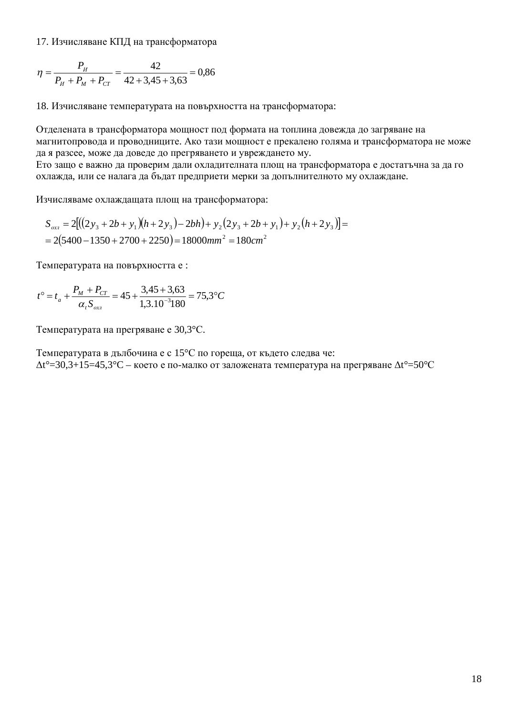17. Изчисляване КПД на трансформатора

$$
\eta = \frac{P_H}{P_H + P_M + P_{CT}} = \frac{42}{42 + 3,45 + 3,63} = 0,86
$$

18. Изчисляване температурата на повърхността на трансформатора:

Отделената в трансформатора мощност под формата на топлина довежда до загряване на магнитопровода и проводниците. Ако тази мощност е прекалено голяма и трансформатора не може да я разсее, може да доведе до прегряването и увреждането му. Ето защо е важно да проверим дали охладителната площ на трансформатора е достатъчна за да го охлажда, или се налага да бъдат предприети мерки за допълнителното му охлаждане.

Изчисляваме охлаждащата площ на трансформатора:

$$
S_{ox1} = 2[(2y_3 + 2b + y_1)(h + 2y_3) - 2bh) + y_2(2y_3 + 2b + y_1) + y_2(h + 2y_3)] =
$$
  
= 2(5400 - 1350 + 2700 + 2250) = 18000mm<sup>2</sup> = 180cm<sup>2</sup>

Температурата на повърхността е:

$$
t^{\circ} = t_a + \frac{P_M + P_{CT}}{\alpha_t S_{oxn}} = 45 + \frac{3,45 + 3,63}{1,3.10^{-3}180} = 75,3^{\circ}C
$$

Температурата на прегряване е 30,3°С.

Температурата в дълбочина е с 15°С по гореща, от където следва че:  $\Delta t^{\circ}$ =30,3+15=45,3°C – което е по-малко от заложената температура на прегряване  $\Delta t^{\circ}$ =50°С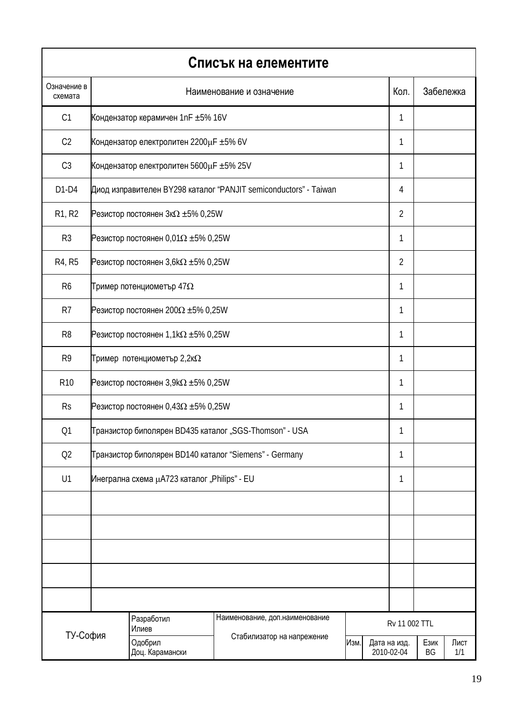|                        |                                                                  |                                              | Списък на елементите                                   |      |  |                            |            |             |
|------------------------|------------------------------------------------------------------|----------------------------------------------|--------------------------------------------------------|------|--|----------------------------|------------|-------------|
| Означение в<br>схемата |                                                                  |                                              | Наименование и означение                               |      |  | Кол.                       |            | Забележка   |
| C1                     |                                                                  | Кондензатор керамичен 1nF ±5% 16V            |                                                        |      |  | 1                          |            |             |
| C <sub>2</sub>         |                                                                  | Кондензатор електролитен 2200µF ±5% 6V       |                                                        |      |  | 1                          |            |             |
| C <sub>3</sub>         |                                                                  | Кондензатор електролитен 5600µF ±5% 25V      |                                                        |      |  | 1                          |            |             |
| $D1-D4$                | Диод изправителен BY298 каталог "PANJIT semiconductors" - Taiwan | 4                                            |                                                        |      |  |                            |            |             |
| R1, R2                 | Резистор постоянен $3k\Omega \pm 5\%$ 0,25W                      |                                              |                                                        |      |  |                            |            |             |
| R <sub>3</sub>         | Резистор постоянен 0,01 $\Omega$ ±5% 0,25W                       |                                              |                                                        |      |  |                            |            |             |
| R4, R5                 | Резистор постоянен $3,6k\Omega \pm 5\%$ 0,25W                    |                                              |                                                        |      |  |                            |            |             |
| R <sub>6</sub>         | Тример потенциометър 47 $\Omega$                                 |                                              |                                                        |      |  |                            |            |             |
| R <sub>7</sub>         | Резистор постоянен 200 $\Omega$ ±5% 0,25W                        |                                              |                                                        |      |  |                            |            |             |
| R <sub>8</sub>         | Резистор постоянен $1,1k\Omega \pm 5\%$ 0,25W                    |                                              |                                                        |      |  |                            |            |             |
| R <sub>9</sub>         | Тример потенциометър 2,2к $\Omega$                               |                                              |                                                        |      |  |                            |            |             |
| R <sub>10</sub>        | Резистор постоянен $3,9k\Omega \pm 5\%$ 0,25W                    |                                              |                                                        |      |  |                            |            |             |
| <b>Rs</b>              |                                                                  | Резистор постоянен 0,43 $\Omega$ ±5% 0,25W   |                                                        |      |  | 1                          |            |             |
| Q1                     |                                                                  |                                              | Транзистор биполярен BD435 каталог "SGS-Thomson" - USA |      |  | 1                          |            |             |
| Q <sub>2</sub>         |                                                                  |                                              | Транзистор биполярен BD140 каталог "Siemens" - Germany |      |  | 1                          |            |             |
| U1                     |                                                                  | Инегрална схема µA723 каталог "Philips" - EU |                                                        |      |  | 1                          |            |             |
|                        |                                                                  |                                              |                                                        |      |  |                            |            |             |
|                        |                                                                  |                                              |                                                        |      |  |                            |            |             |
|                        |                                                                  |                                              |                                                        |      |  |                            |            |             |
|                        |                                                                  |                                              |                                                        |      |  |                            |            |             |
|                        |                                                                  |                                              |                                                        |      |  |                            |            |             |
|                        |                                                                  | Разработил<br>Илиев                          | Наименование, доп. наименование                        |      |  | Rv 11 002 TTL              |            |             |
| ТУ-София               |                                                                  | Одобрил<br>Доц. Карамански                   | Стабилизатор на напрежение                             | Изм. |  | Дата на изд.<br>2010-02-04 | Език<br>BG | Лист<br>1/1 |

 $\overline{1}$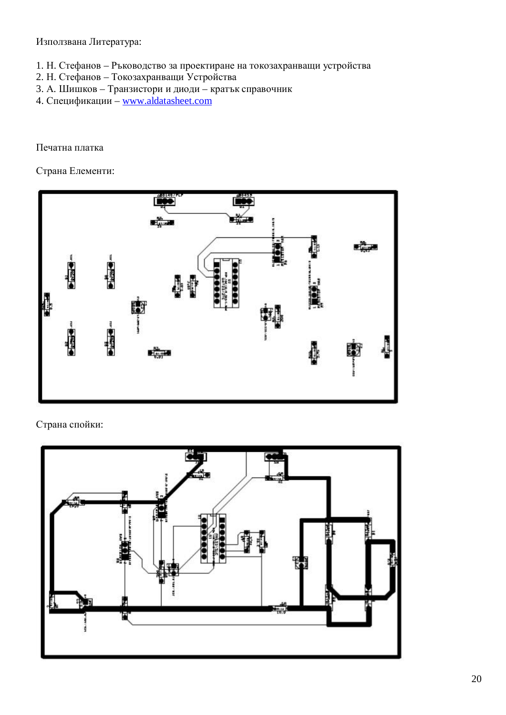Използвана Литература:

- 1. Н. Стефанов Ръководство за проектиране на токозахранващи устройства
- 2. Н. Стефанов Токозахранващи Устройства
- 3. А. Шишков Транзистори и диоди кратък справочник
- 4. Спецификации [www.aldatasheet.com](http://www.aldatasheet.com)

#### Печатна платка

Страна Елементи:



### Страна спойки:

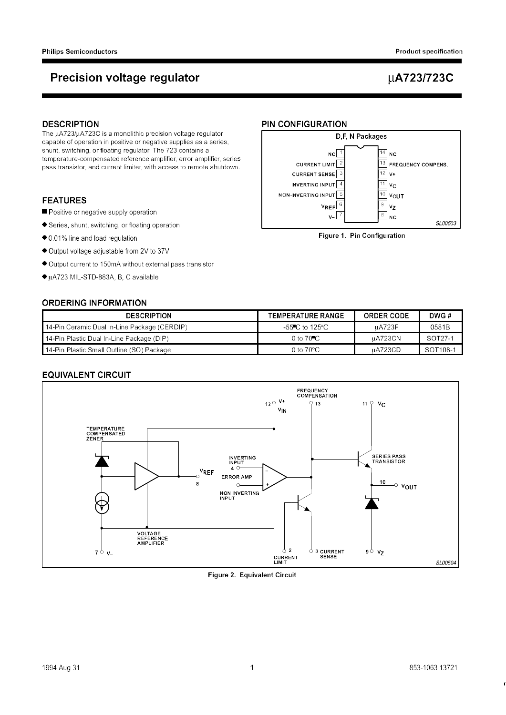### **Precision voltage regulator**

### µA723/723C

#### **DESCRIPTION**

The µA723/µA723C is a monolithic precision voltage regulator capable of operation in positive or negative supplies as a series, shunt, switching, or floating regulator. The 723 contains a temperature-compensated reference amplifier, error amplifier, series pass transistor, and current limiter, with access to remote shutdown.

#### **FEATURES**

- Positive or negative supply operation
- Series, shunt, switching, or floating operation
- 0.01% line and load regulation
- Output voltage adjustable from 2V to 37V
- Output current to 150mA without external pass transistor
- µA723 MIL-STD-883A, B, C available

#### **ORDERING INFORMATION**

#### **PIN CONFIGURATION D.F. N Packages**  $\overline{14}$  NC  $NC$  $\overline{13}$  FREQUENCY COMPENS. **CURRENT LIMIT**  $\overline{12}$  v+ **CURRENT SENSE**  $\overline{\overline{11}}$  vc **INVERTING INPUT**  $\sqrt{4}$  $\overline{\overline{10}}$  vout NON-INVERTING INPUT  $\frac{1}{9}$  vz  $\overline{a}$ **VREF**  $\overline{\left|8\right|}$  NC SL00503

Figure 1. Pin Configuration

| <b>DESCRIPTION</b>                             | <b>TEMPERATURE RANGE</b>             | <b>ORDER CODE</b> | DWG #    |
|------------------------------------------------|--------------------------------------|-------------------|----------|
| ∥ 14-Pin Ceramic Dual In-Line Package (CERDIP) | -55 $\mathrm{C}$ to 125 $\mathrm{C}$ | uA723F            | 0581B    |
| 14-Pin Plastic Dual In-Line Package (DIP)      | 0 to 70 °C                           | uA723CN           | SOT27-1  |
| l 14-Pin Plastic Small Outline (SO) Package    | 0 to $70^{\circ}$ C                  | uA723CD           | SOT108-1 |

#### **EQUIVALENT CIRCUIT**



**Figure 2. Equivalent Circuit**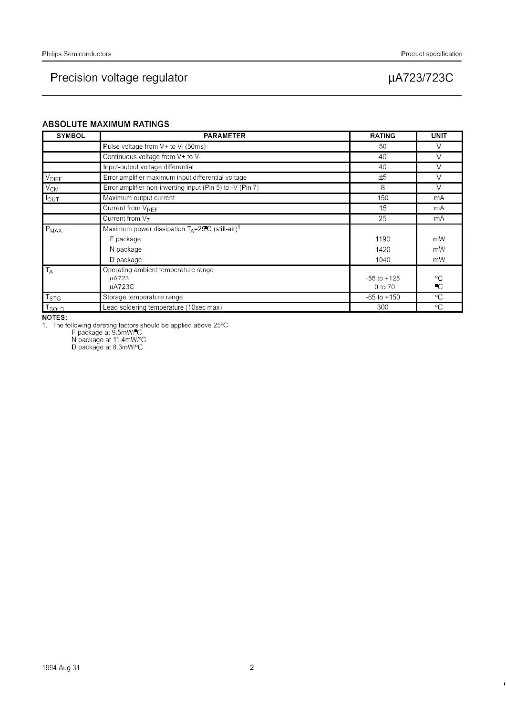### Precision voltage regulator

#### Product specification

### µA723/723C

#### **ABSOLUTE MAXIMUM RATINGS**

| <b>SYMBOL</b>   | <b>PARAMETER</b>                                                | <b>RATING</b>   | <b>UNIT</b>     |
|-----------------|-----------------------------------------------------------------|-----------------|-----------------|
|                 | Pulse voltage from V+ to V- (50ms)                              | 50              | v               |
|                 | Continuous voltage from V+ to V-                                | 40              | v               |
|                 | Input-output voltage differential                               | 40              | V               |
| <b>VDIFF</b>    | Error amplifier maximum input differential voltage              | ±5              | V               |
| $\sqrt{V_{CM}}$ | Error amplifier non-inverting input (Pin 5) to -V (Pin 7)       | 8               | $\vee$          |
| $I_{OUT}$       | Maximum output current                                          | 150             | mA              |
|                 | Current from V <sub>REF</sub>                                   | 15              | mA              |
|                 | Current from $V_7$                                              | 25              | mA              |
| $P_{MAX}$       | Maximum power dissipation $T_A = 25$ C (still-air) <sup>1</sup> |                 |                 |
|                 | F package                                                       | 1190            | mW              |
|                 | N package                                                       | 1420            | mW              |
|                 | D package                                                       | 1040            | mW              |
| $T_A$           | Operating ambient temperature range                             |                 |                 |
|                 | uA723                                                           | $-55$ to $+125$ | $^{\circ}C$     |
|                 | uA723C                                                          | 0 to 70         | ∎C              |
| <b>TSTG</b>     | Storage temperature range                                       | $-65$ to $+150$ | $\rm ^{\circ}C$ |
| <b>T</b> sold   | Lead soldering temperature (10sec max)                          | 300             | °C              |

NOTES:

1. The following derating factors should be applied above 25°C<br>F package at 9.5mW/C<br>N package at 11.4mW/°C<br>D package at 8.3mW/°C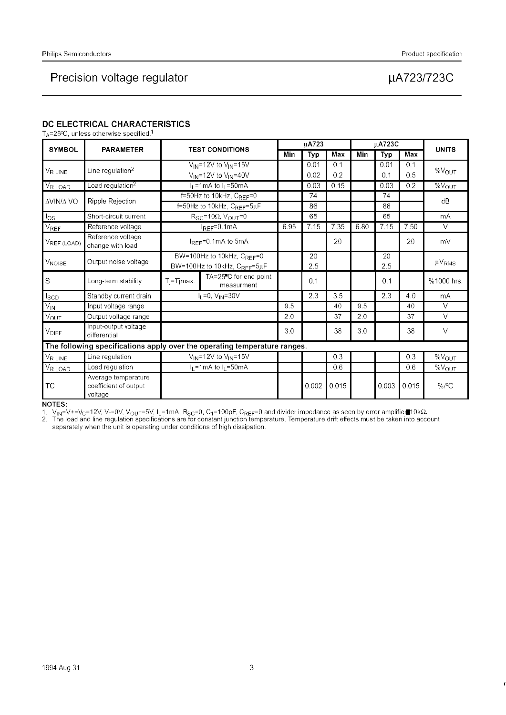### Precision voltage regulator

### µA723/723C

#### DC ELECTRICAL CHARACTERISTICS

 $T_A = 25^{\circ}$ C, unless otherwise specified.<sup>1</sup>

| <b>SYMBOL</b>            | <b>PARAMETER</b>                                                          | <b>TEST CONDITIONS</b>         |                                                  | uA723 |            |       | <b>µA723C</b> |       |       | <b>UNITS</b>           |  |
|--------------------------|---------------------------------------------------------------------------|--------------------------------|--------------------------------------------------|-------|------------|-------|---------------|-------|-------|------------------------|--|
|                          |                                                                           |                                |                                                  | Min   | <b>Typ</b> | Max   | Min           | Typ   | Max   |                        |  |
|                          | Line regulation $^2$                                                      |                                | $V_{IN}$ =12V to $V_{IN}$ =15V                   |       | 0.01       | 0.1   |               | 0.01  | 0.1   | $%V_{OUT}$             |  |
| V <sub>R LINE</sub>      |                                                                           |                                | $V_{IN}$ =12V to $V_{IN}$ =40V                   |       | 0.02       | 0.2   |               | 0.1   | 0.5   |                        |  |
| VR LOAD                  | Load regulation <sup>2</sup>                                              |                                | $I_L$ =1mA to $I_L$ =50mA                        |       | 0.03       | 0.15  |               | 0.03  | 0.2   | $\overline{\%}V_{OUT}$ |  |
| ΔVIN/Δ VO                | Ripple Rejection                                                          |                                | $f=50$ Hz to 10kHz, $C_{REF}=0$                  |       | 74         |       |               | 74    |       | dB                     |  |
|                          |                                                                           | f=50Hz to 10kHz, CREF=5uF      |                                                  |       | 86         |       |               | 86    |       |                        |  |
| $\log$                   | Short-circuit current                                                     |                                | $R_{SC}$ =10 $\Omega$ , $V_{OUT}$ =0             |       | 65         |       |               | 65    |       | mA                     |  |
| V <sub>REF</sub>         | Reference voltage                                                         |                                | 6.95<br>$I_{REF}=0.1mA$                          |       | 7.15       | 7.35  | 6.80          | 7.15  | 7.50  | $\vee$                 |  |
| VREF (LOAD)              | Reference voltage<br>change with load                                     |                                | $I_{REF}=0.1$ mA to 5mA                          |       |            | 20    |               |       | 20    | mV                     |  |
| <b>V<sub>NOISE</sub></b> | Output noise voltage                                                      | BW=100Hz to 10kHz, $C_{REF}=0$ |                                                  |       | 20         |       |               | 20    |       | $\mu$ V <sub>RMS</sub> |  |
|                          |                                                                           |                                | BW=100Hz to 10kHz, C <sub>REF</sub> =5µF         |       | 2.5        |       |               | 2.5   |       |                        |  |
| S                        | Long-term stability                                                       | Tj=Tjmax.                      | TA=25 <sup>"</sup> C for end point<br>measurment |       | 0.1        |       |               | 0.1   |       | %1000 hrs.             |  |
| <b>I</b> scp             | Standby current drain                                                     |                                | $I_L = 0$ , $V_{IN} = 30V$                       |       | 2.3        | 3.5   |               | 2.3   | 4.0   | mA                     |  |
| $\overline{V_{IN}}$      | Input voltage range                                                       |                                |                                                  | 9.5   |            | 40    | 9.5           |       | 40    | V                      |  |
| $V_{\text{OUT}}$         | Output voltage range                                                      |                                |                                                  | 2.0   |            | 37    | 2.0           |       | 37    | $\vee$                 |  |
| <b>V<sub>DIFF</sub></b>  | Input-output voltage<br>differential                                      |                                |                                                  | 3.0   |            | 38    | 3.0           |       | 38    | $\vee$                 |  |
|                          | The following specifications apply over the operating temperature ranges. |                                |                                                  |       |            |       |               |       |       |                        |  |
| V <sub>R LINE</sub>      | Line regulation                                                           |                                | $V_{IN}$ =12V to $V_{IN}$ =15V                   |       |            | 0.3   |               |       | 0.3   | $\%V_{OUT}$            |  |
| V <sub>R LOAD</sub>      | Load regulation                                                           |                                | $I_1 = 1 \text{mA}$ to $I_1 = 50 \text{mA}$      |       |            | 0.6   |               |       | 0.6   | %V <sub>OUT</sub>      |  |
| <b>TC</b>                | Average temperature<br>coefficient of output<br>voltage                   |                                |                                                  |       | 0.002      | 0.015 |               | 0.003 | 0.015 | $\%$ /°C               |  |

NOTES:<br>1.  $V_{IN}$ =V+=V<sub>C</sub>=12V, V-=0V, V<sub>OUT</sub>=5V, I<sub>L</sub>=1mA, R<sub>SC</sub>=0, C<sub>1</sub>=100pF, C<sub>REF</sub>=0 and divider impedance as seen by error amplifier 10kΩ.<br>2. The load and line regulation specifications are for constant junction tempe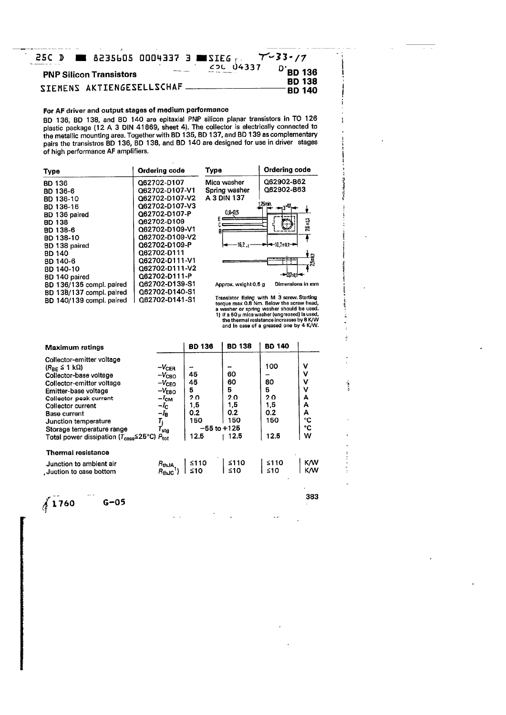|  |                                |  | <b>25C D EX 8235605 0004337 3 EXIEG REV-33-77</b> |                                |
|--|--------------------------------|--|---------------------------------------------------|--------------------------------|
|  | <b>PNP Silicon Transistors</b> |  | <b>COL 04337</b>                                  | $D$ <sup>-</sup> BD 136        |
|  | SIEMENS AKTIENGESELLSCHAF      |  |                                                   | <b>BD 138</b><br><b>BD 140</b> |

#### For AF driver and output stages of medium performance

BD 136, BD 138, and BD 140 are epitaxial PNP silicon planar transistors in TO 126 plastic package (12 A 3 DIN 41869, sheet 4). The collector is electrically connected to<br>the metallic mounting area. Together with BD 135, BD 137, and BD 139 as complementary pairs the transistros BD 136, BD 138, and BD 140 are designed for use in driver stages of high performance AF amplifiers.

| Type                     | Ordering code  | Type                 | Ordering code                                                                           |
|--------------------------|----------------|----------------------|-----------------------------------------------------------------------------------------|
| <b>BD 136</b>            | Q62702-D107    | Mica washer          | Q62902-B62                                                                              |
| BD 136-6                 | Q62702-D107-V1 | Spring washer        | Q62902-B63                                                                              |
| <b>BD 136-10</b>         | Q62702-D107-V2 | A 3 DIN 137          |                                                                                         |
| BD 136-16                | Q62702-D107-V3 |                      | 75mm.                                                                                   |
| BD 136 paired            | Q62702-D107-P  | $0.8 - 0.5$          |                                                                                         |
| <b>BD 138</b>            | Q62702-D109    |                      | 76:42                                                                                   |
| BD 138-6                 | Q62702-D109-V1 |                      |                                                                                         |
| BD 138-10                | Q62702-D109-V2 |                      |                                                                                         |
| BD 138 paired            | Q62702-D109-P  | $162 - 1$            | ►├╼╌10.7±0.2-╼┥                                                                         |
| <b>BD 140</b>            | Q62702-D111    |                      |                                                                                         |
| BD 140-6                 | Q62702-D111-V1 |                      | ្អូ<br>- - -<br>$\overline{1}$                                                          |
| BD 140-10                | Q62702-D111-V2 |                      |                                                                                         |
| BD 140 paired            | 062702-D111-P  |                      | $-137 - 11$                                                                             |
| BD 136/135 compl. paired | Q62702-D139-S1 | Approx. weight 0.5 g | Dimensions in mm                                                                        |
| BD 138/137 compl. paired | Q62702-D140-S1 |                      |                                                                                         |
| BD 140/139 compl. paired | Q62702-D141-S1 |                      | Transistor fixing with M 3 screw. Starting<br>termin may 0.9 Nm. Rotour the cernic hood |

Transistor fixing with M 3 screw. Starting<br>torque max 0.8 Nm. Below the screw head,<br>a washer or spring washer should be used.<br>1) if a 50  $\mu$  mica washer (ungreased) is used,<br>the thermal resistance increases by 8 K/W<br>and

| 60<br>60<br>5<br>2.0<br>1,5<br>0.2<br>150 | 100<br>80<br>5<br>2.0<br>1,5<br>0.2<br>150 | v<br>٧<br>٧<br>٧<br>А<br>А<br>А<br>°C |
|-------------------------------------------|--------------------------------------------|---------------------------------------|
| $-55$ to $+125$<br>12.5                   | 12.5                                       | °C<br>w                               |
|                                           |                                            |                                       |
| ≤110<br>$≤10$                             | ≤110<br>≤10                                | K/W<br><b>K/W</b>                     |
|                                           |                                            |                                       |

 $\sqrt{1760}$ 

 $G-05$ 

383

÷

**TANK OF A** 

1 û  $\ddot{ }$  $\frac{1}{2}$ 

 $\frac{1}{2}$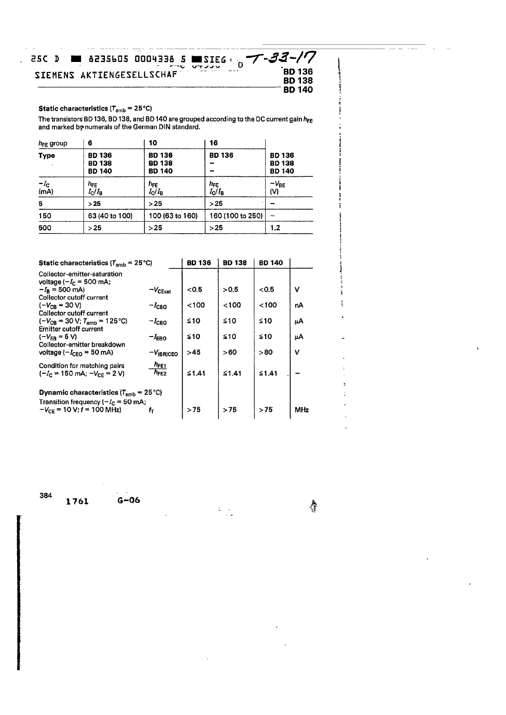#### **25C D 6235605 0004338 5 MSIEG**  $-33 - 17$ 7 SIEMENS AKTIENGESELLSCHAF **BD 136 BD 138 BD 140**

#### **Static characteristics (** $T_{amb} = 25^{\circ}C$ **)**

 $\ddot{\phantom{a}}$ 

The transistors BD 136, BD 138, and BD 140 are grouped according to the DC current gain  $h_{FE}$  and marked by numerals of the German DIN standard.

| $h_{FE}$ group | 6                                               | 10                                              | 16                                |                                                 |
|----------------|-------------------------------------------------|-------------------------------------------------|-----------------------------------|-------------------------------------------------|
| <b>Type</b>    | <b>BD 136</b><br><b>BD 138</b><br><b>BD 140</b> | <b>BD 136</b><br><b>BD 138</b><br><b>BD 140</b> | <b>BD 136</b>                     | <b>BD 136</b><br><b>BD 138</b><br><b>BD 140</b> |
| $-I_c$<br>(mA) | h <sub>FE</sub><br>$I_{\rm C}/I_{\rm B}$        | h <sub>FE</sub><br>$I_{\rm C}/I_{\rm B}$        | $h_{FE}$<br>$I_{\rm C}/I_{\rm B}$ | -V <sub>BE</sub><br>(V)                         |
| 5              | >25                                             | >25                                             | >25                               |                                                 |
| 150            | 63 (40 to 100)                                  | 100 (63 to 160)                                 | 160 (100 to 250)                  | --                                              |
| 500            | >25                                             | >25                                             | >25                               | 1,2                                             |

| <b>Static characteristics (<math>T_{amb}</math> = 25 °C)</b>                                      | <b>BD 136</b>                 | <b>BD 138</b> | <b>BD 140</b> |       |     |
|---------------------------------------------------------------------------------------------------|-------------------------------|---------------|---------------|-------|-----|
| Collector-emitter-saturation<br>voltage $(-I_C = 500 \text{ mA})$                                 |                               |               |               |       |     |
| $-I_R = 500$ mA)<br>Collector cutoff current                                                      | $-V_{\text{CEsat}}$           | < 0.5         | > 0.5         | < 0.5 | v   |
| $(-V_{CR} = 30 V)$<br>Collector cutoff current                                                    | $-l_{\text{CBO}}$             | < 100         | < 100         | <100  | пA  |
| $(-V_{CR} = 30 V; T_{amb} = 125 \degree C)$<br>Emitter cutoff current                             | $-I_{\text{CBO}}$             | ≤10           | ≤10           | ≤10   | μΑ  |
| $(-V_{FR} = 5 V)$<br>Collector-emitter breakdown                                                  | $-I_{EBO}$                    | ≨10           | ≤10           | ≤10   | μA  |
| voltage ( $-I_{CFO}$ = 50 mA)                                                                     | $-V$ (BR)CEO                  | >45           | >60           | >80   | v   |
| Condition for matching pairs<br>$(-I_c = 150 \text{ mA}; -V_{CF} = 2 \text{ V})$                  | $n_{\text{FE1}}$<br>$h_{FE2}$ | ≤1.41         | ≤1.41         | ≤1.41 |     |
| <b>Dynamic characteristics (T<sub>amb</sub></b> = 25 °C)<br>Transition frequency ( $-IC$ = 50 mA; |                               |               |               |       |     |
| $-V_{CF}$ = 10 V; $f = 100$ MHz)                                                                  | t-                            | >75           | >75           | > 75  | MHz |

 $\frac{1}{2}$  ,  $\frac{1}{2}$ 

384

1761

 $G-06$ 

Ą

å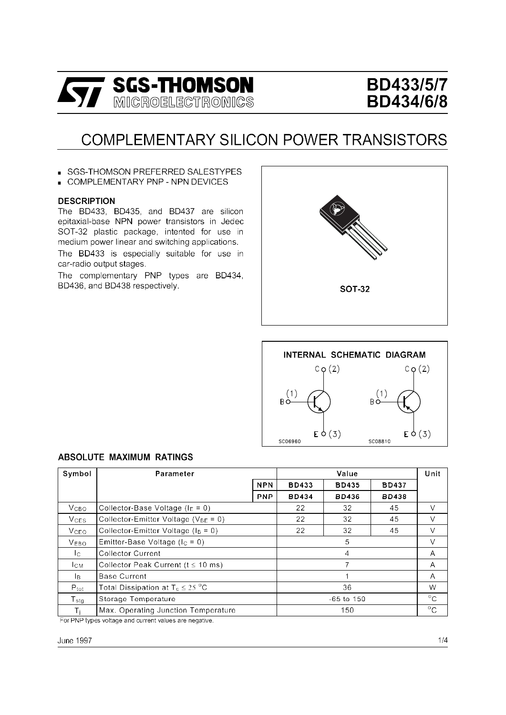

# **BD433/5/7 BD434/6/8**

# COMPLEMENTARY SILICON POWER TRANSISTORS

SGS-THOMSON PREFERRED SALESTYPES

**COMPLEMENTARY PNP - NPN DEVICES** 

#### **DESCRIPTION**

The BD433, BD435, and BD437 are silicon epitaxial-base NPN power transistors in Jedec SOT-32 plastic package, intented for use in medium power linear and switching applications. The BD433 is especially suitable for use in car-radio output stages.

The complementary PNP types are BD434, BD436, and BD438 respectively.





#### **ABSOLUTE MAXIMUM RATINGS**

| Symbol                  | Parameter                                  |            | Unit         |                |              |              |
|-------------------------|--------------------------------------------|------------|--------------|----------------|--------------|--------------|
|                         |                                            | <b>NPN</b> | <b>BD433</b> | <b>BD435</b>   | <b>BD437</b> |              |
|                         |                                            | <b>PNP</b> | <b>BD434</b> | <b>BD436</b>   | <b>BD438</b> |              |
| <b>V</b> <sub>CВО</sub> | Collector-Base Voltage ( $I_E = 0$ )       |            | 22           | 32             | 45           | V            |
| $V_{CES}$               | Collector-Emitter Voltage ( $V_{BE} = 0$ ) |            | 22           | 32             | 45           | v            |
| <b>V</b> <sub>CEO</sub> | Collector-Emitter Voltage ( $I_B = 0$ )    |            | 22           | 32             | 45           | v            |
| V <sub>EBO</sub>        | Emitter-Base Voltage ( $I_C = 0$ )         |            |              | 5              |              | V            |
| Ic.                     | <b>Collector Current</b>                   |            |              | 4              |              | A            |
| <b>I</b> CM             | Collector Peak Current ( $t \leq 10$ ms)   |            | 7            |                |              | A            |
| lв.                     | <b>Base Current</b>                        |            |              |                |              | A            |
| $P_{\text{tot}}$        | Total Dissipation at $T_c \leq 25$ °C      |            |              | 36             |              | W            |
| $T_{\rm stg}$           | Storage Temperature                        |            |              | $-65$ to $150$ |              | $^{\circ}$ C |
| Τĵ.                     | Max. Operating Junction Temperature        |            |              | 150            |              | $^{\circ}$ C |

For PNP types voltage and current values are negative.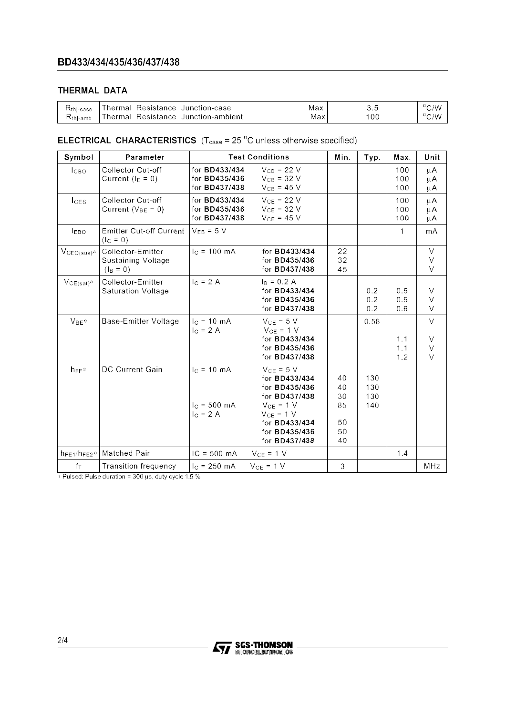### THERMAL DATA

| $H$ thi-case         | hermal   | Resistance Junction-case    | Max | J   | 'V ان |
|----------------------|----------|-----------------------------|-----|-----|-------|
| $R_{\text{thi-amb}}$ | [hermal] | Resistance Junction-ambient | Max | '00 | ى     |

### **ELECTRICAL CHARACTERISTICS**  $(T_{\text{case}} = 25 \degree C)$  unless otherwise specified)

| Symbol             | Parameter                                                     | <b>Test Conditions</b>                                 | Min.                                                                                                                                                                                        | Typ.                                   | Max.                     | Unit              |                                                 |
|--------------------|---------------------------------------------------------------|--------------------------------------------------------|---------------------------------------------------------------------------------------------------------------------------------------------------------------------------------------------|----------------------------------------|--------------------------|-------------------|-------------------------------------------------|
| <b>І</b> сво       | <b>Collector Cut-off</b><br>Current ( $I_E = 0$ )             | for BD433/434<br>for BD435/436<br>for BD437/438        | $V_{CB} = 22 V$<br>$V_{CB} = 32 V$<br>$V_{CB} = 45 V$                                                                                                                                       |                                        |                          | 100<br>100<br>100 | μA<br>μA<br>μA                                  |
| lc <sub>ES</sub>   | <b>Collector Cut-off</b><br>Current ( $V_{BE} = 0$ )          | for BD433/434<br>for BD435/436<br>for <b>BD437/438</b> | $V_{CE}$ = 22 V<br>$V_{CE}$ = 32 V<br>$V_{CF}$ = 45 V                                                                                                                                       |                                        |                          | 100<br>100<br>100 | μA<br>μA<br>μA                                  |
| <b>IEBO</b>        | <b>Emitter Cut-off Current</b><br>$(I_C = 0)$                 | $V_{FR} = 5 V$                                         |                                                                                                                                                                                             |                                        |                          | 1                 | mA                                              |
| $VCEO(sus)*$       | Collector-Emitter<br><b>Sustaining Voltage</b><br>$(I_B = 0)$ | $IC = 100 mA$                                          | for BD433/434<br>for <b>BD435/436</b><br>for <b>BD437/438</b>                                                                                                                               | 22<br>32<br>45                         |                          |                   | $\vee$<br>V<br>$\vee$                           |
| $VCE(sat)^*$       | Collector-Emitter<br><b>Saturation Voltage</b>                | $IC = 2 A$                                             | $I_B = 0.2 A$<br>for BD433/434<br>for <b>BD435/436</b><br>for BD437/438                                                                                                                     |                                        | 0.2<br>0.2<br>0.2        | 0.5<br>0.5<br>0.6 | V<br>V<br>$\vee$                                |
| $V_{BE}$           | <b>Base-Emitter Voltage</b>                                   | $I_{C}$ = 10 mA<br>$IC = 2 A$                          | $V_{CE}$ = 5 V<br>$V_{CE}$ = 1 V<br>for BD433/434<br>for <b>BD435/436</b><br>for <b>BD437/438</b>                                                                                           |                                        | 0.58                     | 1.1<br>1.1<br>1.2 | $\mathsf{V}$<br>$\vee$<br>$\mathsf V$<br>$\vee$ |
| $h_{FE}$           | DC Current Gain                                               | $I_C = 10 \text{ mA}$<br>$IC$ = 500 mA<br>$I_C = 2 A$  | $V_{CE}$ = 5 V<br>for <b>BD433/434</b><br>for <b>BD435/436</b><br>for <b>BD437/438</b><br>$V_{CE} = 1 V$<br>$V_{CF} = 1 V$<br>for <b>BD433/434</b><br>for <b>BD435/436</b><br>for BD437/438 | 40<br>40<br>30<br>85<br>50<br>50<br>40 | 130<br>130<br>130<br>140 |                   |                                                 |
| $h_{FE1}/h_{FE2}*$ | <b>Matched Pair</b>                                           | $IC = 500 \, mA$                                       | $V_{CE}$ = 1 V                                                                                                                                                                              |                                        |                          | 1.4               |                                                 |
| fт                 | <b>Transition frequency</b>                                   | $I_C = 250$ mA                                         | $V_{CE} = 1 V$                                                                                                                                                                              | 3                                      |                          |                   | MHz                                             |

\* Pulsed: Pulse duration = 300 us, duty cycle 1.5 %